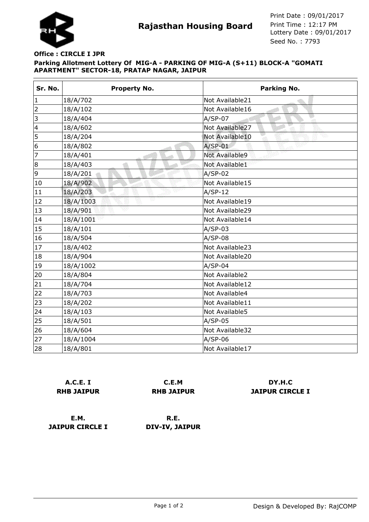

**Rajasthan Housing Board** Print Time : 12:17 PM<br>Lottery Date : 09/01/2017 Seed No. : 7793 Print Date : 09/01/2017 Print Time : 12:17 PM

## **Parking Allotment Lottery Of MIG-A - PARKING OF MIG-A (S+11) BLOCK-A "GOMATI APARTMENT" SECTOR-18, PRATAP NAGAR, JAIPUR Office : CIRCLE I JPR**

| Sr. No.         | <b>Property No.</b> | <b>Parking No.</b> |
|-----------------|---------------------|--------------------|
| $\vert$ 1       | 18/A/702            | Not Available21    |
| $\overline{c}$  | 18/A/102            | Not Available16    |
| $\vert$ 3       | 18/A/404            | $A/SP-07$          |
| $\vert$ 4       | 18/A/602            | Not Available27    |
| $\overline{5}$  | 18/A/204            | Not Available10    |
| 6               | 18/A/802            | $A/SP-01$          |
| $\overline{7}$  | 18/A/401            | Not Available9     |
| 8               | 18/A/403            | Not Available1     |
| 9               | 18/A/201            | $A/SP-02$          |
| 10              | 18/A/902            | Not Available15    |
| 11              | 18/A/203            | $A/SP-12$          |
| 12              | v<br>18/A/1003      | Not Available19    |
| 13              | 18/A/901            | Not Available29    |
| 14              | 18/A/1001           | Not Available14    |
| 15              | 18/A/101            | $A/SP-03$          |
| 16              | 18/A/504            | $A/SP-08$          |
| 17              | 18/A/402            | Not Available23    |
| 18              | 18/A/904            | Not Available20    |
| 19              | 18/A/1002           | $A/SP-04$          |
| 20              | 18/A/804            | Not Available2     |
| 21              | 18/A/704            | Not Available12    |
| $\overline{22}$ | 18/A/703            | Not Available4     |
| 23              | 18/A/202            | Not Available11    |
| 24              | 18/A/103            | Not Available5     |
| 25              | 18/A/501            | $A/SP-05$          |
| 26              | 18/A/604            | Not Available32    |
| 27              | 18/A/1004           | $A/SP-06$          |
| 28              | 18/A/801            | Not Available17    |

**A.C.E. I RHB JAIPUR**

**C.E.M RHB JAIPUR**

**DY.H.C JAIPUR CIRCLE I**

**E.M. JAIPUR CIRCLE I**

**R.E. DIV-IV, JAIPUR**